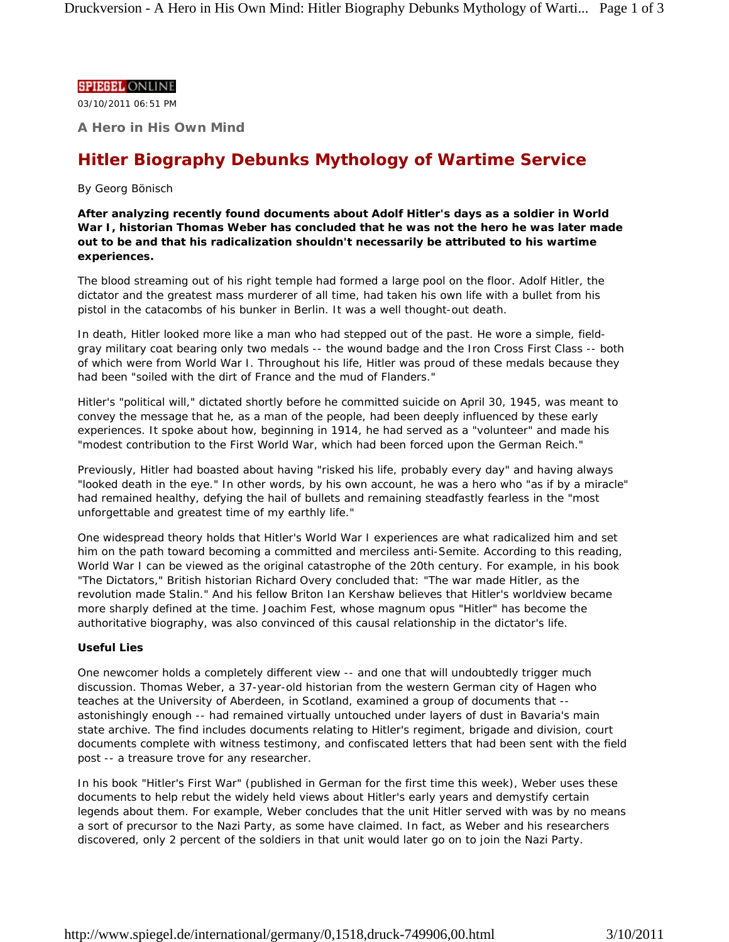### **SPIEGEL ONLINE**

03/10/2011 06:51 PM

**A Hero in His Own Mind**

# **Hitler Biography Debunks Mythology of Wartime Service**

# *By Georg Bönisch*

**After analyzing recently found documents about Adolf Hitler's days as a soldier in World War I, historian Thomas Weber has concluded that he was not the hero he was later made out to be and that his radicalization shouldn't necessarily be attributed to his wartime experiences.**

The blood streaming out of his right temple had formed a large pool on the floor. Adolf Hitler, the dictator and the greatest mass murderer of all time, had taken his own life with a bullet from his pistol in the catacombs of his bunker in Berlin. It was a well thought-out death.

In death, Hitler looked more like a man who had stepped out of the past. He wore a simple, fieldgray military coat bearing only two medals -- the wound badge and the Iron Cross First Class -- both of which were from World War I. Throughout his life, Hitler was proud of these medals because they had been "soiled with the dirt of France and the mud of Flanders."

Hitler's "political will," dictated shortly before he committed suicide on April 30, 1945, was meant to convey the message that he, as a man of the people, had been deeply influenced by these early experiences. It spoke about how, beginning in 1914, he had served as a "volunteer" and made his "modest contribution to the First World War, which had been forced upon the German Reich."

Previously, Hitler had boasted about having "risked his life, probably every day" and having always "looked death in the eye." In other words, by his own account, he was a hero who "as if by a miracle" had remained healthy, defying the hail of bullets and remaining steadfastly fearless in the "most unforgettable and greatest time of my earthly life."

One widespread theory holds that Hitler's World War I experiences are what radicalized him and set him on the path toward becoming a committed and merciless anti-Semite. According to this reading, World War I can be viewed as the original catastrophe of the 20th century. For example, in his book "The Dictators," British historian Richard Overy concluded that: "The war made Hitler, as the revolution made Stalin." And his fellow Briton Ian Kershaw believes that Hitler's worldview became more sharply defined at the time. Joachim Fest, whose magnum opus "Hitler" has become the authoritative biography, was also convinced of this causal relationship in the dictator's life.

## **Useful Lies**

One newcomer holds a completely different view -- and one that will undoubtedly trigger much discussion. Thomas Weber, a 37-year-old historian from the western German city of Hagen who teaches at the University of Aberdeen, in Scotland, examined a group of documents that - astonishingly enough -- had remained virtually untouched under layers of dust in Bavaria's main state archive. The find includes documents relating to Hitler's regiment, brigade and division, court documents complete with witness testimony, and confiscated letters that had been sent with the field post -- a treasure trove for any researcher.

In his book "Hitler's First War" (published in German for the first time this week), Weber uses these documents to help rebut the widely held views about Hitler's early years and demystify certain legends about them. For example, Weber concludes that the unit Hitler served with was by no means a sort of precursor to the Nazi Party, as some have claimed. In fact, as Weber and his researchers discovered, only 2 percent of the soldiers in that unit would later go on to join the Nazi Party.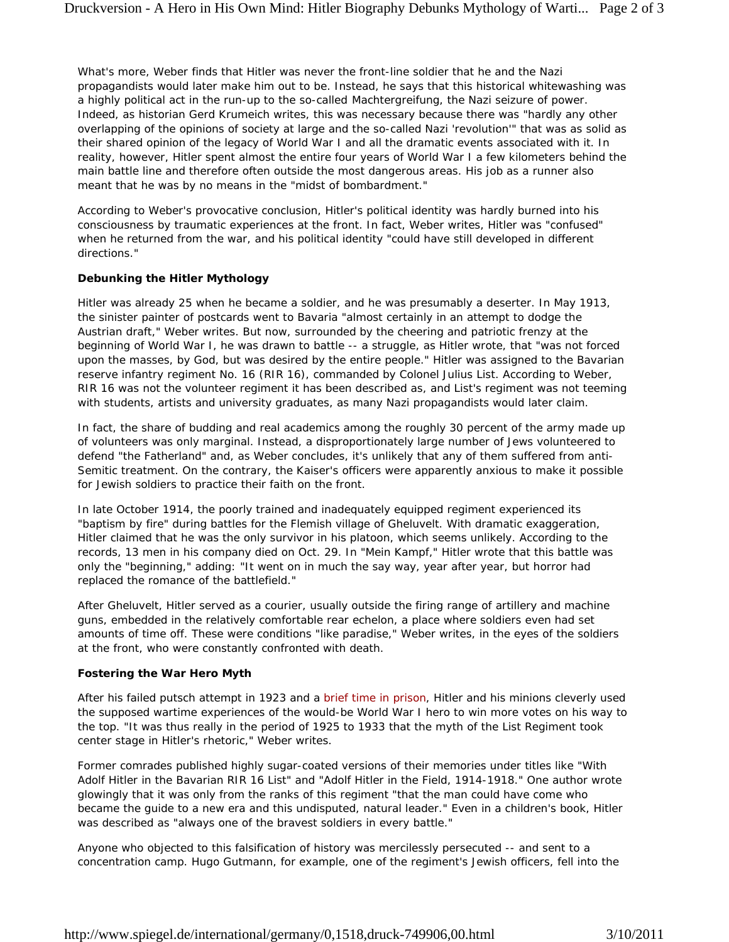What's more, Weber finds that Hitler was never the front-line soldier that he and the Nazi propagandists would later make him out to be. Instead, he says that this historical whitewashing was a highly political act in the run-up to the so-called *Machtergreifung*, the Nazi seizure of power. Indeed, as historian Gerd Krumeich writes, this was necessary because there was "hardly any other overlapping of the opinions of society at large and the so-called Nazi 'revolution'" that was as solid as their shared opinion of the legacy of World War I and all the dramatic events associated with it. In reality, however, Hitler spent almost the entire four years of World War I a few kilometers behind the main battle line and therefore often outside the most dangerous areas. His job as a runner also meant that he was by no means in the "midst of bombardment."

According to Weber's provocative conclusion, Hitler's political identity was hardly burned into his consciousness by traumatic experiences at the front. In fact, Weber writes, Hitler was "confused" when he returned from the war, and his political identity "could have still developed in different directions."

### **Debunking the Hitler Mythology**

Hitler was already 25 when he became a soldier, and he was presumably a deserter. In May 1913, the sinister painter of postcards went to Bavaria "almost certainly in an attempt to dodge the Austrian draft," Weber writes. But now, surrounded by the cheering and patriotic frenzy at the beginning of World War I, he was drawn to battle -- a struggle, as Hitler wrote, that "was not forced upon the masses, by God, but was desired by the entire people." Hitler was assigned to the Bavarian reserve infantry regiment No. 16 (RIR 16), commanded by Colonel Julius List. According to Weber, RIR 16 was not the volunteer regiment it has been described as, and List's regiment was not teeming with students, artists and university graduates, as many Nazi propagandists would later claim.

In fact, the share of budding and real academics among the roughly 30 percent of the army made up of volunteers was only marginal. Instead, a disproportionately large number of Jews volunteered to defend "the Fatherland" and, as Weber concludes, it's unlikely that any of them suffered from anti-Semitic treatment. On the contrary, the Kaiser's officers were apparently anxious to make it possible for Jewish soldiers to practice their faith on the front.

In late October 1914, the poorly trained and inadequately equipped regiment experienced its "baptism by fire" during battles for the Flemish village of Gheluvelt. With dramatic exaggeration, Hitler claimed that he was the only survivor in his platoon, which seems unlikely. According to the records, 13 men in his company died on Oct. 29. In "Mein Kampf," Hitler wrote that this battle was only the "beginning," adding: "It went on in much the say way, year after year, but horror had replaced the romance of the battlefield."

After Gheluvelt, Hitler served as a courier, usually outside the firing range of artillery and machine guns, embedded in the relatively comfortable rear echelon, a place where soldiers even had set amounts of time off. These were conditions "like paradise," Weber writes, in the eyes of the soldiers at the front, who were constantly confronted with death.

#### **Fostering the War Hero Myth**

After his failed putsch attempt in 1923 and a brief time in prison, Hitler and his minions cleverly used the supposed wartime experiences of the would-be World War I hero to win more votes on his way to the top. "It was thus really in the period of 1925 to 1933 that the myth of the List Regiment took center stage in Hitler's rhetoric," Weber writes.

Former comrades published highly sugar-coated versions of their memories under titles like "With Adolf Hitler in the Bavarian RIR 16 List" and "Adolf Hitler in the Field, 1914-1918." One author wrote glowingly that it was only from the ranks of this regiment "that the man could have come who became the guide to a new era and this undisputed, natural leader." Even in a children's book, Hitler was described as "always one of the bravest soldiers in every battle."

Anyone who objected to this falsification of history was mercilessly persecuted -- and sent to a concentration camp. Hugo Gutmann, for example, one of the regiment's Jewish officers, fell into the